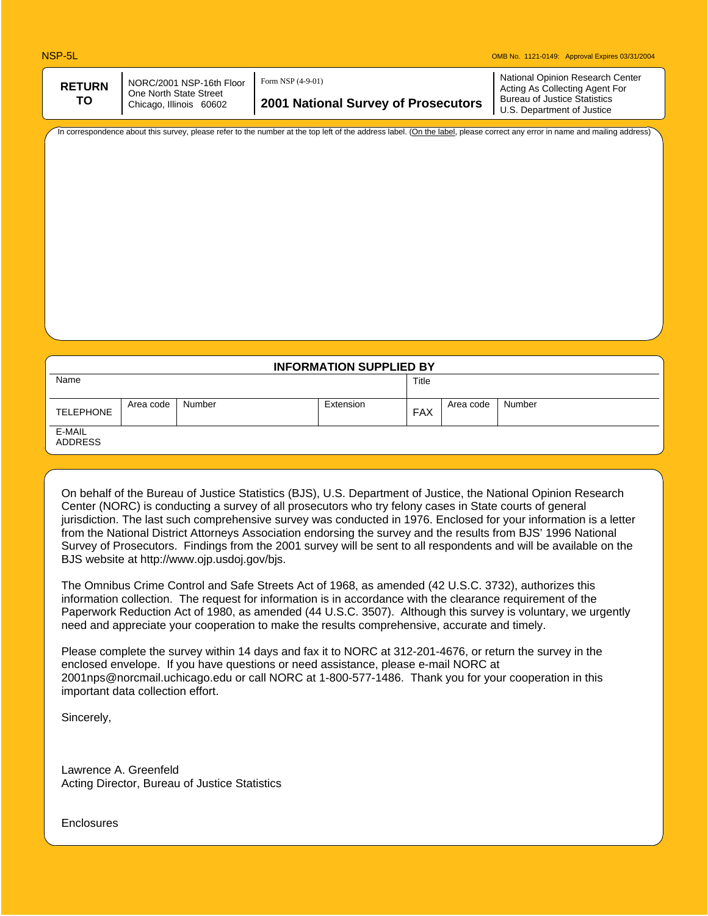| <b>RETURN</b>                                           | NORC/2001 NSP-16th Floor            | Form NSP (4-9-01)                                                 | National Opinion Research Center<br>Acting As Collecting Agent For |
|---------------------------------------------------------|-------------------------------------|-------------------------------------------------------------------|--------------------------------------------------------------------|
| One North State Street<br>TO<br>Chicago, Illinois 60602 | 2001 National Survey of Prosecutors | <b>Bureau of Justice Statistics</b><br>U.S. Department of Justice |                                                                    |
|                                                         |                                     |                                                                   |                                                                    |

In correspondence about this survey, please refer to the number at the top left of the address label. (On the label, please correct any error in name and mailing address)

| <b>INFORMATION SUPPLIED BY</b> |           |        |           |            |           |        |
|--------------------------------|-----------|--------|-----------|------------|-----------|--------|
| Name                           |           |        |           | Title      |           |        |
| <b>TELEPHONE</b>               | Area code | Number | Extension | <b>FAX</b> | Area code | Number |
| E-MAIL<br><b>ADDRESS</b>       |           |        |           |            |           |        |

On behalf of the Bureau of Justice Statistics (BJS), U.S. Department of Justice, the National Opinion Research Center (NORC) is conducting a survey of all prosecutors who try felony cases in State courts of general jurisdiction. The last such comprehensive survey was conducted in 1976. Enclosed for your information is a letter from the National District Attorneys Association endorsing the survey and the results from BJS' 1996 National Survey of Prosecutors. Findings from the 2001 survey will be sent to all respondents and will be available on the BJS website at http://www.ojp.usdoj.gov/bjs.

The Omnibus Crime Control and Safe Streets Act of 1968, as amended (42 U.S.C. 3732), authorizes this information collection. The request for information is in accordance with the clearance requirement of the Paperwork Reduction Act of 1980, as amended (44 U.S.C. 3507). Although this survey is voluntary, we urgently need and appreciate your cooperation to make the results comprehensive, accurate and timely.

Please complete the survey within 14 days and fax it to NORC at 312-201-4676, or return the survey in the enclosed envelope. If you have questions or need assistance, please e-mail NORC at 2001nps@norcmail.uchicago.edu or call NORC at 1-800-577-1486. Thank you for your cooperation in this important data collection effort.

Sincerely,

Lawrence A. Greenfeld Acting Director, Bureau of Justice Statistics

**Enclosures**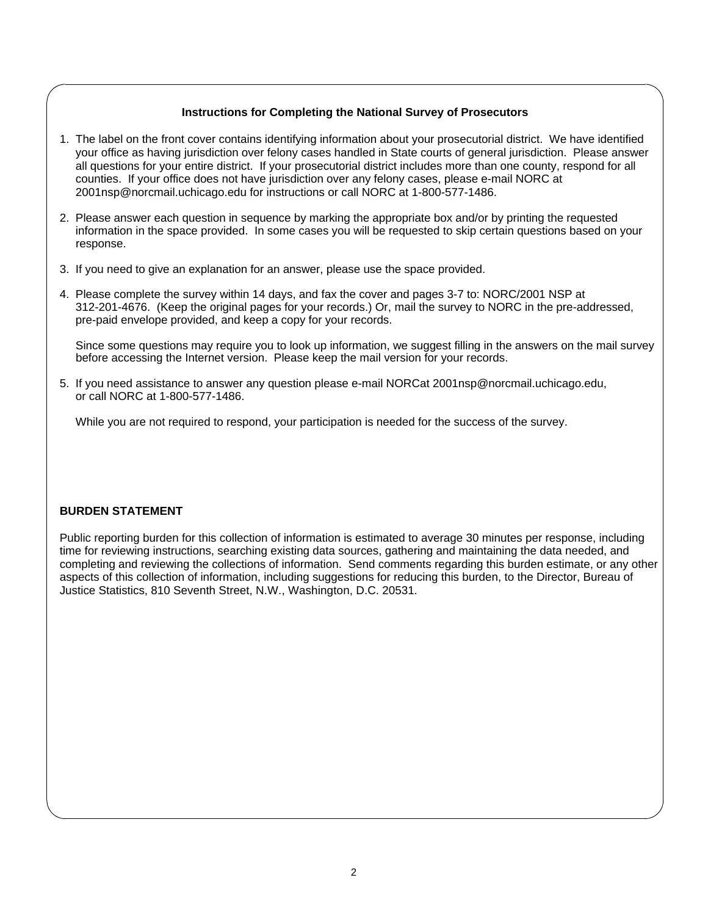## **Instructions for Completing the National Survey of Prosecutors**

- 1. The label on the front cover contains identifying information about your prosecutorial district. We have identified your office as having jurisdiction over felony cases handled in State courts of general jurisdiction. Please answer all questions for your entire district. If your prosecutorial district includes more than one county, respond for all counties. If your office does not have jurisdiction over any felony cases, please e-mail NORC at 2001nsp@norcmail.uchicago.edu for instructions or call NORC at 1-800-577-1486.
- 2. Please answer each question in sequence by marking the appropriate box and/or by printing the requested information in the space provided. In some cases you will be requested to skip certain questions based on your response.
- 3. If you need to give an explanation for an answer, please use the space provided.
- 4. Please complete the survey within 14 days, and fax the cover and pages 3-7 to: NORC/2001 NSP at 312-201-4676. (Keep the original pages for your records.) Or, mail the survey to NORC in the pre-addressed, pre-paid envelope provided, and keep a copy for your records.

 Since some questions may require you to look up information, we suggest filling in the answers on the mail survey before accessing the Internet version. Please keep the mail version for your records.

5. If you need assistance to answer any question please e-mail NORCat 2001nsp@norcmail.uchicago.edu, or call NORC at 1-800-577-1486.

While you are not required to respond, your participation is needed for the success of the survey.

## **BURDEN STATEMENT**

Public reporting burden for this collection of information is estimated to average 30 minutes per response, including time for reviewing instructions, searching existing data sources, gathering and maintaining the data needed, and completing and reviewing the collections of information. Send comments regarding this burden estimate, or any other aspects of this collection of information, including suggestions for reducing this burden, to the Director, Bureau of Justice Statistics, 810 Seventh Street, N.W., Washington, D.C. 20531.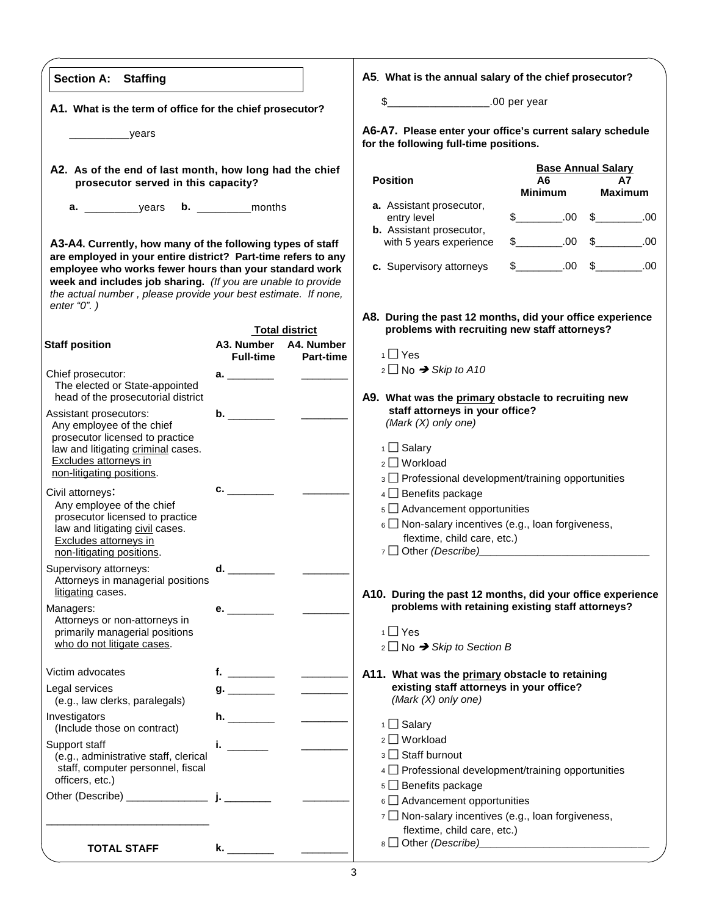| <b>Section A: Staffing</b>                                                                                                                                                               |                                                                                                                 |                       | A5. What is the annual salary of the chief prosecutor?                                                          |                      |                           |
|------------------------------------------------------------------------------------------------------------------------------------------------------------------------------------------|-----------------------------------------------------------------------------------------------------------------|-----------------------|-----------------------------------------------------------------------------------------------------------------|----------------------|---------------------------|
|                                                                                                                                                                                          |                                                                                                                 |                       | \$____________________.00 per year                                                                              |                      |                           |
| A1. What is the term of office for the chief prosecutor?                                                                                                                                 |                                                                                                                 |                       |                                                                                                                 |                      |                           |
| <u>vears</u>                                                                                                                                                                             |                                                                                                                 |                       | A6-A7. Please enter your office's current salary schedule<br>for the following full-time positions.             |                      |                           |
| A2. As of the end of last month, how long had the chief                                                                                                                                  |                                                                                                                 |                       |                                                                                                                 |                      | <b>Base Annual Salary</b> |
| prosecutor served in this capacity?                                                                                                                                                      |                                                                                                                 |                       | <b>Position</b>                                                                                                 | A6<br><b>Minimum</b> | А7<br><b>Maximum</b>      |
|                                                                                                                                                                                          |                                                                                                                 |                       | a. Assistant prosecutor,                                                                                        |                      |                           |
|                                                                                                                                                                                          |                                                                                                                 |                       | entry level<br><b>b.</b> Assistant prosecutor,                                                                  |                      | $$-.00$$ .00 $$-.00$      |
| A3-A4. Currently, how many of the following types of staff                                                                                                                               |                                                                                                                 |                       | with 5 years experience                                                                                         |                      | $$$ 00 \$ 00 00           |
| are employed in your entire district? Part-time refers to any                                                                                                                            |                                                                                                                 |                       |                                                                                                                 |                      |                           |
| employee who works fewer hours than your standard work<br>week and includes job sharing. (If you are unable to provide<br>the actual number, please provide your best estimate. If none, |                                                                                                                 |                       | c. Supervisory attorneys                                                                                        |                      | $$-.00$$ .00 $$-.00$      |
| enter " $0$ ".)                                                                                                                                                                          |                                                                                                                 |                       | A8. During the past 12 months, did your office experience                                                       |                      |                           |
|                                                                                                                                                                                          |                                                                                                                 | <b>Total district</b> | problems with recruiting new staff attorneys?                                                                   |                      |                           |
| <b>Staff position</b>                                                                                                                                                                    | A3. Number A4. Number<br><b>Full-time</b>                                                                       | <b>Part-time</b>      | $1 \square$ Yes                                                                                                 |                      |                           |
| Chief prosecutor:                                                                                                                                                                        |                                                                                                                 |                       | $2 \Box$ No $\rightarrow$ Skip to A10                                                                           |                      |                           |
| The elected or State-appointed                                                                                                                                                           | $a.$ and $a.$                                                                                                   |                       |                                                                                                                 |                      |                           |
| head of the prosecutorial district                                                                                                                                                       |                                                                                                                 |                       | A9. What was the primary obstacle to recruiting new                                                             |                      |                           |
| Assistant prosecutors:<br>Any employee of the chief                                                                                                                                      | $\mathbf{b}$ .                                                                                                  |                       | staff attorneys in your office?<br>(Mark $(X)$ only one)                                                        |                      |                           |
| prosecutor licensed to practice                                                                                                                                                          |                                                                                                                 |                       |                                                                                                                 |                      |                           |
| law and litigating criminal cases.                                                                                                                                                       |                                                                                                                 |                       | 1 □ Salary                                                                                                      |                      |                           |
| Excludes attorneys in<br>non-litigating positions.                                                                                                                                       |                                                                                                                 |                       | $2 \square$ Workload                                                                                            |                      |                           |
|                                                                                                                                                                                          | $\mathbf{C}$ . The contract of $\mathbf{C}$                                                                     |                       | 3 Professional development/training opportunities                                                               |                      |                           |
| Civil attorneys:<br>Any employee of the chief                                                                                                                                            |                                                                                                                 |                       | 4 Benefits package<br>$5 \square$ Advancement opportunities                                                     |                      |                           |
| prosecutor licensed to practice                                                                                                                                                          |                                                                                                                 |                       | $6 \Box$ Non-salary incentives (e.g., loan forgiveness,                                                         |                      |                           |
| law and litigating civil cases.<br>Excludes attorneys in                                                                                                                                 |                                                                                                                 |                       | flextime, child care, etc.)                                                                                     |                      |                           |
| non-litigating positions.                                                                                                                                                                |                                                                                                                 |                       | 7 Other (Describe)                                                                                              |                      |                           |
| Supervisory attorneys:                                                                                                                                                                   | d. Design and the set of the set of the set of the set of the set of the set of the set of the set of the set o |                       |                                                                                                                 |                      |                           |
| Attorneys in managerial positions<br>litigating cases.                                                                                                                                   |                                                                                                                 |                       |                                                                                                                 |                      |                           |
| Managers:                                                                                                                                                                                | $e.$ and $e.$                                                                                                   |                       | A10. During the past 12 months, did your office experience<br>problems with retaining existing staff attorneys? |                      |                           |
| Attorneys or non-attorneys in                                                                                                                                                            |                                                                                                                 |                       |                                                                                                                 |                      |                           |
| primarily managerial positions<br>who do not litigate cases.                                                                                                                             |                                                                                                                 |                       | $1 \square$ Yes                                                                                                 |                      |                           |
|                                                                                                                                                                                          |                                                                                                                 |                       | $2 \square$ No $\rightarrow$ Skip to Section B                                                                  |                      |                           |
| Victim advocates                                                                                                                                                                         |                                                                                                                 |                       | A11. What was the primary obstacle to retaining                                                                 |                      |                           |
| Legal services                                                                                                                                                                           |                                                                                                                 |                       | existing staff attorneys in your office?                                                                        |                      |                           |
| (e.g., law clerks, paralegals)                                                                                                                                                           |                                                                                                                 |                       | (Mark $(X)$ only one)                                                                                           |                      |                           |
| Investigators<br>(Include those on contract)                                                                                                                                             |                                                                                                                 |                       | $1 \square$ Salary                                                                                              |                      |                           |
| Support staff                                                                                                                                                                            | i. $\frac{1}{2}$                                                                                                |                       | 2 □ Workload                                                                                                    |                      |                           |
| (e.g., administrative staff, clerical                                                                                                                                                    |                                                                                                                 |                       | 3 Staff burnout                                                                                                 |                      |                           |
| staff, computer personnel, fiscal<br>officers, etc.)                                                                                                                                     |                                                                                                                 |                       | $4 \Box$ Professional development/training opportunities                                                        |                      |                           |
|                                                                                                                                                                                          |                                                                                                                 |                       | $5 \square$ Benefits package                                                                                    |                      |                           |
|                                                                                                                                                                                          |                                                                                                                 |                       | $6 \square$ Advancement opportunities<br>$7 \square$ Non-salary incentives (e.g., loan forgiveness,             |                      |                           |
|                                                                                                                                                                                          |                                                                                                                 |                       | flextime, child care, etc.)                                                                                     |                      |                           |
| <b>TOTAL STAFF</b>                                                                                                                                                                       |                                                                                                                 |                       | 8 Other (Describe) 2010 10:00 10:00 10:00 10:00 10:00 10:00 10:00 10:00 10:00 10:00 10:00 10:00 10:00 10:00 10  |                      |                           |
|                                                                                                                                                                                          |                                                                                                                 |                       |                                                                                                                 |                      |                           |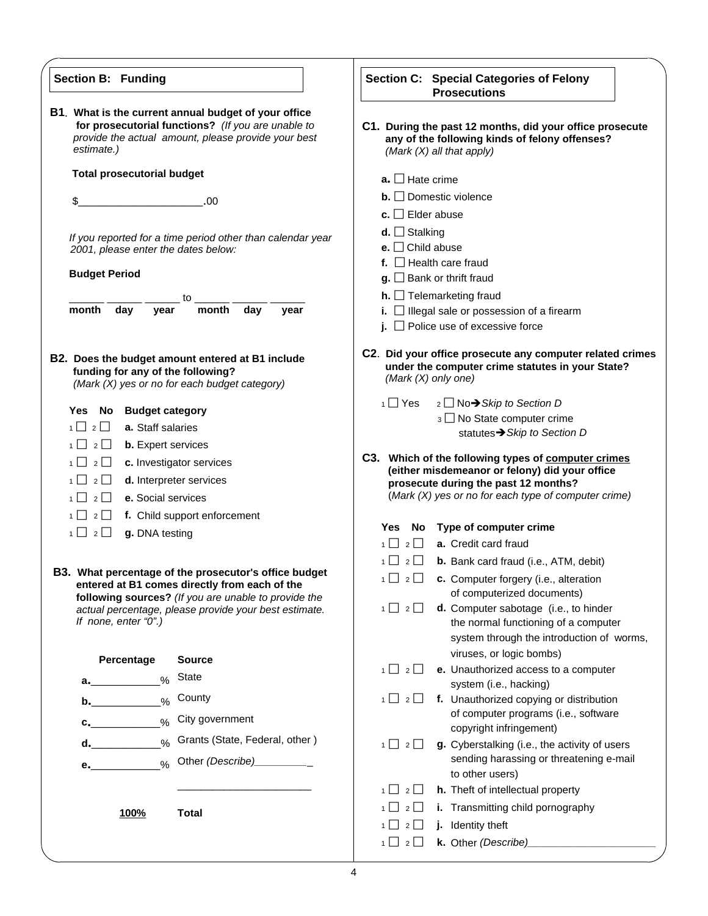| <b>Section B: Funding</b>                                                                                                                                                       | Section C: Special Categories of Felony<br><b>Prosecutions</b>                                                                            |
|---------------------------------------------------------------------------------------------------------------------------------------------------------------------------------|-------------------------------------------------------------------------------------------------------------------------------------------|
| B1. What is the current annual budget of your office<br>for prosecutorial functions? (If you are unable to<br>provide the actual amount, please provide your best<br>estimate.) | C1. During the past 12 months, did your office prosecute<br>any of the following kinds of felony offenses?<br>(Mark $(X)$ all that apply) |
| <b>Total prosecutorial budget</b>                                                                                                                                               | $a.$ Hate crime                                                                                                                           |
|                                                                                                                                                                                 | $\mathbf{b}$ . $\Box$ Domestic violence                                                                                                   |
| \$<br>.00                                                                                                                                                                       | c. $\Box$ Elder abuse                                                                                                                     |
|                                                                                                                                                                                 | <b>d.</b> $\Box$ Stalking                                                                                                                 |
| If you reported for a time period other than calendar year<br>2001, please enter the dates below:                                                                               | e. $\Box$ Child abuse                                                                                                                     |
| <b>Budget Period</b>                                                                                                                                                            | f. $\Box$ Health care fraud                                                                                                               |
|                                                                                                                                                                                 | $\mathbf{g}$ . $\Box$ Bank or thrift fraud                                                                                                |
| to to<br>month<br>day<br>month<br>day<br>vear<br>year                                                                                                                           | $h.$ $\Box$ Telemarketing fraud                                                                                                           |
|                                                                                                                                                                                 | i. $\Box$ Illegal sale or possession of a firearm<br>j. $\Box$ Police use of excessive force                                              |
| B2. Does the budget amount entered at B1 include<br>funding for any of the following?<br>(Mark (X) yes or no for each budget category)                                          | C2. Did your office prosecute any computer related crimes<br>under the computer crime statutes in your State?<br>(Mark (X) only one)      |
|                                                                                                                                                                                 | $1 \square$ Yes<br>2 □ No→ Skip to Section D                                                                                              |
| Yes No Budget category<br>a. Staff salaries<br>$1 \square 2 \square$                                                                                                            | 3 No State computer crime                                                                                                                 |
| $1 \cup 2 \cup$<br><b>b.</b> Expert services                                                                                                                                    | statutes > Skip to Section D                                                                                                              |
| $1 \mid$<br>$2 \Box$<br>c. Investigator services                                                                                                                                | C3. Which of the following types of computer crimes                                                                                       |
| $1 \mid 2 \mid$<br>d. Interpreter services                                                                                                                                      | (either misdemeanor or felony) did your office<br>prosecute during the past 12 months?                                                    |
| $1 \mid$<br>$2$    <br>e. Social services                                                                                                                                       | (Mark (X) yes or no for each type of computer crime)                                                                                      |
| $1 \mid$<br>f. Child support enforcement<br>$2 \Box$                                                                                                                            |                                                                                                                                           |
| $1 \cup 2 \cup$<br>g. DNA testing                                                                                                                                               | No Type of computer crime<br><b>Yes</b>                                                                                                   |
|                                                                                                                                                                                 | a. Credit card fraud<br>1<br>$2\Box$                                                                                                      |
| <b>B3.</b> What percentage of the prosecutor's office budget                                                                                                                    | $1 \square 2 \square$ <b>b.</b> Bank card fraud (i.e., ATM, debit)                                                                        |
| entered at B1 comes directly from each of the                                                                                                                                   | $1 \square 2 \square$ c. Computer forgery (i.e., alteration<br>of computerized documents)                                                 |
| following sources? (If you are unable to provide the<br>actual percentage, please provide your best estimate.                                                                   | $1 \cup 2 \cup$<br>d. Computer sabotage (i.e., to hinder                                                                                  |
| If none, enter "0".)                                                                                                                                                            | the normal functioning of a computer                                                                                                      |
|                                                                                                                                                                                 | system through the introduction of worms,                                                                                                 |
| Percentage<br><b>Source</b>                                                                                                                                                     | viruses, or logic bombs)                                                                                                                  |
| <b>State</b><br>$\%$<br>$a.$ and $a.$                                                                                                                                           | $1 \cup 2 \cup$<br>e. Unauthorized access to a computer<br>system (i.e., hacking)                                                         |
| County<br>$\frac{0}{0}$<br>b.                                                                                                                                                   | $1 \cup 2 \cup$<br>f. Unauthorized copying or distribution                                                                                |
| City government<br>$\frac{0}{0}$                                                                                                                                                | of computer programs (i.e., software                                                                                                      |
| c.<br>Grants (State, Federal, other)                                                                                                                                            | copyright infringement)                                                                                                                   |
| $\frac{0}{0}$<br>d.                                                                                                                                                             | $1 \square 2 \square$<br>g. Cyberstalking (i.e., the activity of users<br>sending harassing or threatening e-mail                         |
| Other (Describe) <b>CHOCON</b><br>$\frac{9}{6}$<br>$\mathbf{e.}$                                                                                                                | to other users)                                                                                                                           |
|                                                                                                                                                                                 | $1 \cup 2 \cup$<br>h. Theft of intellectual property                                                                                      |
| <b>Total</b><br><b>100%</b>                                                                                                                                                     | $1 \cup 2 \cup$<br>i. Transmitting child pornography                                                                                      |
|                                                                                                                                                                                 | j. Identity theft<br>$1 \cup 2 \cup$                                                                                                      |
|                                                                                                                                                                                 | $1 \square 2 \square$                                                                                                                     |
|                                                                                                                                                                                 |                                                                                                                                           |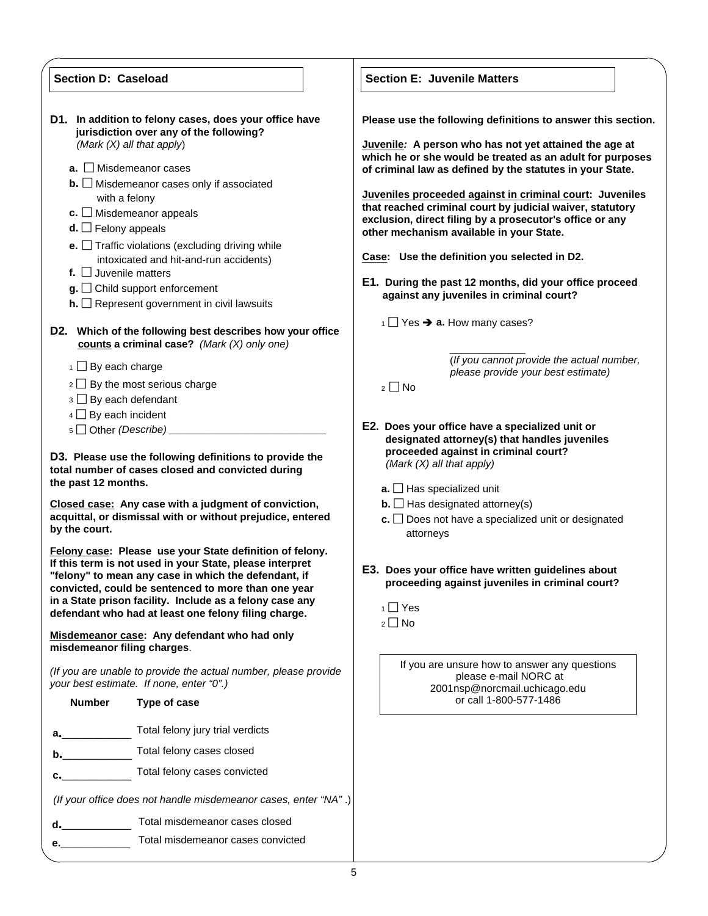| <b>Section D: Caseload</b>                                                                                                          |                                                                                                                                                                                                                                                                                                                                                                                                                                                                                                                                                                                                                                 | <b>Section E: Juvenile Matters</b>                                                                                                                                                                                                                                                                                                                                                                                                                                                                                                                                                                                                                                                                                                                                                |  |  |
|-------------------------------------------------------------------------------------------------------------------------------------|---------------------------------------------------------------------------------------------------------------------------------------------------------------------------------------------------------------------------------------------------------------------------------------------------------------------------------------------------------------------------------------------------------------------------------------------------------------------------------------------------------------------------------------------------------------------------------------------------------------------------------|-----------------------------------------------------------------------------------------------------------------------------------------------------------------------------------------------------------------------------------------------------------------------------------------------------------------------------------------------------------------------------------------------------------------------------------------------------------------------------------------------------------------------------------------------------------------------------------------------------------------------------------------------------------------------------------------------------------------------------------------------------------------------------------|--|--|
| $d.$ Felony appeals<br>f. $\Box$ Juvenile matters<br>$1 \square$ By each charge                                                     | D1. In addition to felony cases, does your office have<br>jurisdiction over any of the following?<br>(Mark $(X)$ all that apply)<br>$a.$ Misdemeanor cases<br>$\mathbf{b}$ . $\Box$ Misdemeanor cases only if associated<br>with a felony<br>$c.$ Misdemeanor appeals<br><b>e.</b> $\Box$ Traffic violations (excluding driving while<br>intoxicated and hit-and-run accidents)<br>$g.$ $\Box$ Child support enforcement<br>$h.$ Represent government in civil lawsuits<br>D2. Which of the following best describes how your office<br>counts a criminal case? (Mark $(X)$ only one)<br>$2 \square$ By the most serious charge | Please use the following definitions to answer this section.<br>Juvenile: A person who has not yet attained the age at<br>which he or she would be treated as an adult for purposes<br>of criminal law as defined by the statutes in your State.<br>Juveniles proceeded against in criminal court: Juveniles<br>that reached criminal court by judicial waiver, statutory<br>exclusion, direct filing by a prosecutor's office or any<br>other mechanism available in your State.<br>Case: Use the definition you selected in D2.<br>E1. During the past 12 months, did your office proceed<br>against any juveniles in criminal court?<br>$\overline{1}$ Yes $\rightarrow$ a. How many cases?<br>(If you cannot provide the actual number,<br>please provide your best estimate) |  |  |
| $3 \square$ By each defendant                                                                                                       |                                                                                                                                                                                                                                                                                                                                                                                                                                                                                                                                                                                                                                 | $2 \square$ No                                                                                                                                                                                                                                                                                                                                                                                                                                                                                                                                                                                                                                                                                                                                                                    |  |  |
| $4 \Box$ By each incident                                                                                                           |                                                                                                                                                                                                                                                                                                                                                                                                                                                                                                                                                                                                                                 |                                                                                                                                                                                                                                                                                                                                                                                                                                                                                                                                                                                                                                                                                                                                                                                   |  |  |
| $5 \Box$ Other (Describe)                                                                                                           | D3. Please use the following definitions to provide the                                                                                                                                                                                                                                                                                                                                                                                                                                                                                                                                                                         | E2. Does your office have a specialized unit or<br>designated attorney(s) that handles juveniles<br>proceeded against in criminal court?                                                                                                                                                                                                                                                                                                                                                                                                                                                                                                                                                                                                                                          |  |  |
| the past 12 months.                                                                                                                 | total number of cases closed and convicted during                                                                                                                                                                                                                                                                                                                                                                                                                                                                                                                                                                               | (Mark (X) all that apply)<br>$a.$ Has specialized unit                                                                                                                                                                                                                                                                                                                                                                                                                                                                                                                                                                                                                                                                                                                            |  |  |
| Closed case: Any case with a judgment of conviction,<br>acquittal, or dismissal with or without prejudice, entered<br>by the court. |                                                                                                                                                                                                                                                                                                                                                                                                                                                                                                                                                                                                                                 | <b>b.</b> $\Box$ Has designated attorney(s)<br>$c.$ Does not have a specialized unit or designated<br>attorneys                                                                                                                                                                                                                                                                                                                                                                                                                                                                                                                                                                                                                                                                   |  |  |
|                                                                                                                                     | Felony case: Please use your State definition of felony.<br>If this term is not used in your State, please interpret<br>"felony" to mean any case in which the defendant, if<br>convicted, could be sentenced to more than one year<br>in a State prison facility. Include as a felony case any<br>defendant who had at least one felony filing charge.                                                                                                                                                                                                                                                                         | E3. Does your office have written guidelines about<br>proceeding against juveniles in criminal court?<br>$1 \square$ Yes<br>$2 \square$ No                                                                                                                                                                                                                                                                                                                                                                                                                                                                                                                                                                                                                                        |  |  |
| misdemeanor filing charges.                                                                                                         | Misdemeanor case: Any defendant who had only                                                                                                                                                                                                                                                                                                                                                                                                                                                                                                                                                                                    |                                                                                                                                                                                                                                                                                                                                                                                                                                                                                                                                                                                                                                                                                                                                                                                   |  |  |
|                                                                                                                                     | (If you are unable to provide the actual number, please provide<br>your best estimate. If none, enter "0".)                                                                                                                                                                                                                                                                                                                                                                                                                                                                                                                     | If you are unsure how to answer any questions<br>please e-mail NORC at<br>2001nsp@norcmail.uchicago.edu                                                                                                                                                                                                                                                                                                                                                                                                                                                                                                                                                                                                                                                                           |  |  |
| <b>Number</b>                                                                                                                       | Type of case                                                                                                                                                                                                                                                                                                                                                                                                                                                                                                                                                                                                                    | or call 1-800-577-1486                                                                                                                                                                                                                                                                                                                                                                                                                                                                                                                                                                                                                                                                                                                                                            |  |  |
| $\alpha$ , and $\alpha$                                                                                                             | Total felony jury trial verdicts                                                                                                                                                                                                                                                                                                                                                                                                                                                                                                                                                                                                |                                                                                                                                                                                                                                                                                                                                                                                                                                                                                                                                                                                                                                                                                                                                                                                   |  |  |
| b.                                                                                                                                  | Total felony cases closed                                                                                                                                                                                                                                                                                                                                                                                                                                                                                                                                                                                                       |                                                                                                                                                                                                                                                                                                                                                                                                                                                                                                                                                                                                                                                                                                                                                                                   |  |  |
| c.                                                                                                                                  | Total felony cases convicted                                                                                                                                                                                                                                                                                                                                                                                                                                                                                                                                                                                                    |                                                                                                                                                                                                                                                                                                                                                                                                                                                                                                                                                                                                                                                                                                                                                                                   |  |  |
|                                                                                                                                     | (If your office does not handle misdemeanor cases, enter "NA".)                                                                                                                                                                                                                                                                                                                                                                                                                                                                                                                                                                 |                                                                                                                                                                                                                                                                                                                                                                                                                                                                                                                                                                                                                                                                                                                                                                                   |  |  |
| d.                                                                                                                                  | Total misdemeanor cases closed                                                                                                                                                                                                                                                                                                                                                                                                                                                                                                                                                                                                  |                                                                                                                                                                                                                                                                                                                                                                                                                                                                                                                                                                                                                                                                                                                                                                                   |  |  |
|                                                                                                                                     | Total misdemeanor cases convicted                                                                                                                                                                                                                                                                                                                                                                                                                                                                                                                                                                                               |                                                                                                                                                                                                                                                                                                                                                                                                                                                                                                                                                                                                                                                                                                                                                                                   |  |  |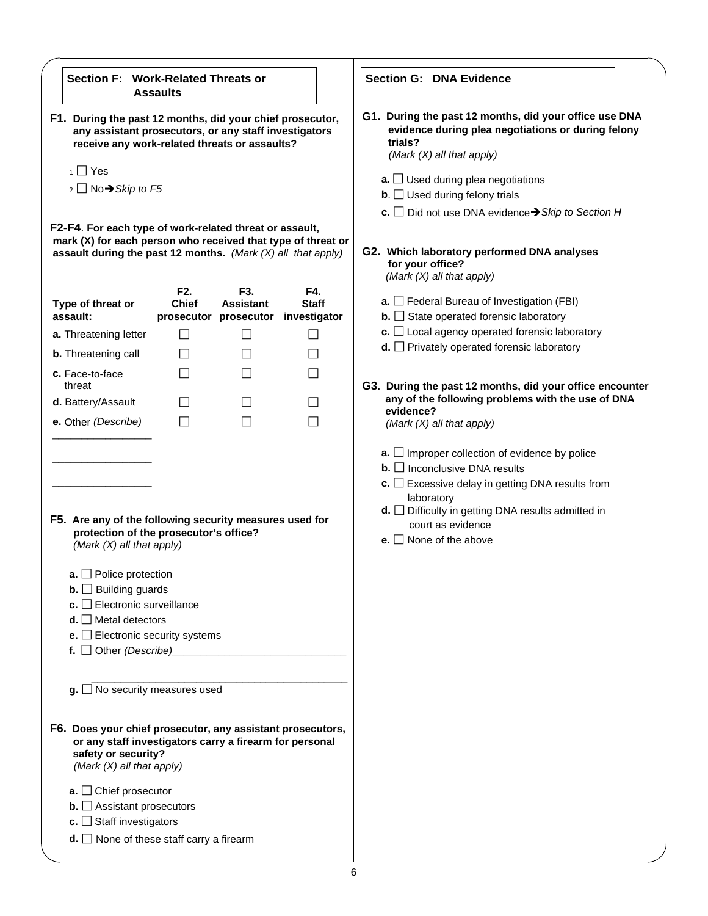| Section F: Work-Related Threats or                                                                                                                                                                                                                                                                                                                                      | <b>Assaults</b>                  |                         |                     | <b>Section G: DNA Evidence</b>                                                                                                                                                                                                                                                                                               |
|-------------------------------------------------------------------------------------------------------------------------------------------------------------------------------------------------------------------------------------------------------------------------------------------------------------------------------------------------------------------------|----------------------------------|-------------------------|---------------------|------------------------------------------------------------------------------------------------------------------------------------------------------------------------------------------------------------------------------------------------------------------------------------------------------------------------------|
| F1. During the past 12 months, did your chief prosecutor,<br>any assistant prosecutors, or any staff investigators<br>receive any work-related threats or assaults?                                                                                                                                                                                                     |                                  |                         |                     | G1. During the past 12 months, did your office use DNA<br>evidence during plea negotiations or during felony<br>trials?<br>(Mark (X) all that apply)                                                                                                                                                                         |
| $1 \square$ Yes<br>$2 \Box$ No $\rightarrow$ Skip to F5                                                                                                                                                                                                                                                                                                                 |                                  |                         |                     | $\mathbf{a}$ . $\Box$ Used during plea negotiations<br>$\mathbf{b}$ . $\Box$ Used during felony trials                                                                                                                                                                                                                       |
|                                                                                                                                                                                                                                                                                                                                                                         |                                  |                         |                     | c. $\Box$ Did not use DNA evidence $\rightarrow$ Skip to Section H                                                                                                                                                                                                                                                           |
| F2-F4. For each type of work-related threat or assault,<br>mark (X) for each person who received that type of threat or<br>assault during the past 12 months. (Mark $(X)$ all that apply)                                                                                                                                                                               |                                  |                         |                     | G2. Which laboratory performed DNA analyses<br>for your office?<br>(Mark (X) all that apply)                                                                                                                                                                                                                                 |
| Type of threat or                                                                                                                                                                                                                                                                                                                                                       | F <sub>2</sub> .<br><b>Chief</b> | F3.<br><b>Assistant</b> | F4.<br><b>Staff</b> | $\mathbf{a}$ . $\Box$ Federal Bureau of Investigation (FBI)                                                                                                                                                                                                                                                                  |
| assault:                                                                                                                                                                                                                                                                                                                                                                |                                  | prosecutor prosecutor   | investigator        | $\mathbf{b}$ . State operated forensic laboratory                                                                                                                                                                                                                                                                            |
| a. Threatening letter                                                                                                                                                                                                                                                                                                                                                   | $\Box$                           | ΙI                      | П                   | $\mathbf{c}$ . $\Box$ Local agency operated forensic laboratory<br>$d.$ Privately operated forensic laboratory                                                                                                                                                                                                               |
| <b>b.</b> Threatening call                                                                                                                                                                                                                                                                                                                                              | $\mathsf{L}$                     | ΙI                      | П                   |                                                                                                                                                                                                                                                                                                                              |
| c. Face-to-face<br>threat                                                                                                                                                                                                                                                                                                                                               |                                  |                         | П                   | G3. During the past 12 months, did your office encounter                                                                                                                                                                                                                                                                     |
| d. Battery/Assault                                                                                                                                                                                                                                                                                                                                                      |                                  |                         | $\vert \ \ \vert$   | any of the following problems with the use of DNA                                                                                                                                                                                                                                                                            |
| e. Other (Describe)                                                                                                                                                                                                                                                                                                                                                     | $\mathsf{L}$                     |                         | П                   | evidence?<br>(Mark (X) all that apply)                                                                                                                                                                                                                                                                                       |
| F5. Are any of the following security measures used for<br>protection of the prosecutor's office?<br>(Mark (X) all that apply)<br>$a.$ Police protection<br><b>b.</b> $\Box$ Building guards<br>$c.$ Electronic surveillance<br>$d.$ Metal detectors<br><b>e.</b> $\Box$ Electronic security systems<br>f. $\Box$ Other (Describe)                                      |                                  |                         |                     | $\mathbf{a}$ . $\Box$ Improper collection of evidence by police<br>$\mathbf{b}$ . $\Box$ Inconclusive DNA results<br>$\mathbf{c}$ . $\Box$ Excessive delay in getting DNA results from<br>laboratory<br>$d.$ $\Box$ Difficulty in getting DNA results admitted in<br>court as evidence<br><b>e.</b> $\Box$ None of the above |
| $g.$ No security measures used<br>F6. Does your chief prosecutor, any assistant prosecutors,<br>or any staff investigators carry a firearm for personal<br>safety or security?<br>(Mark (X) all that apply)<br>$a.$ $\Box$ Chief prosecutor<br>$\mathbf{b}$ . $\Box$ Assistant prosecutors<br>c. $\Box$ Staff investigators<br>$d.$ None of these staff carry a firearm |                                  |                         |                     |                                                                                                                                                                                                                                                                                                                              |